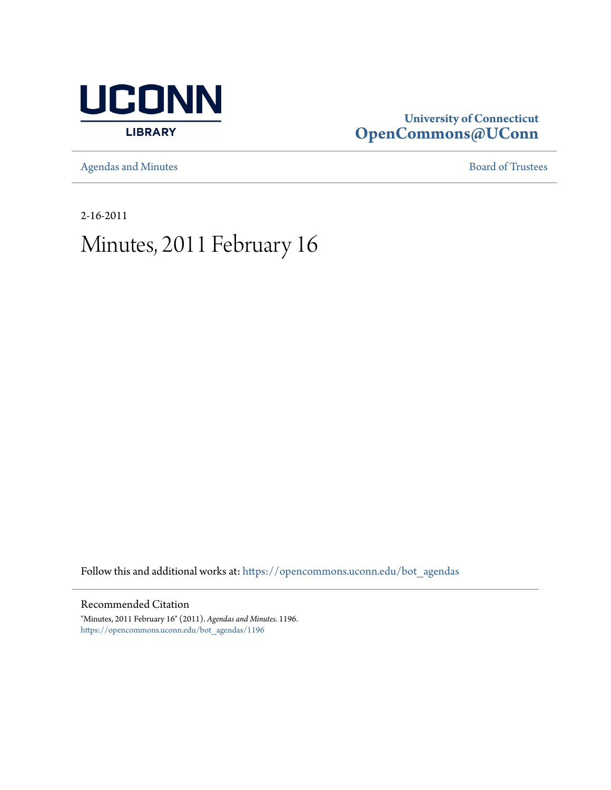

## **University of Connecticut [OpenCommons@UConn](https://opencommons.uconn.edu?utm_source=opencommons.uconn.edu%2Fbot_agendas%2F1196&utm_medium=PDF&utm_campaign=PDFCoverPages)**

[Agendas and Minutes](https://opencommons.uconn.edu/bot_agendas?utm_source=opencommons.uconn.edu%2Fbot_agendas%2F1196&utm_medium=PDF&utm_campaign=PDFCoverPages) **[Board of Trustees](https://opencommons.uconn.edu/bot?utm_source=opencommons.uconn.edu%2Fbot_agendas%2F1196&utm_medium=PDF&utm_campaign=PDFCoverPages)** 

2-16-2011

# Minutes, 2011 February 16

Follow this and additional works at: [https://opencommons.uconn.edu/bot\\_agendas](https://opencommons.uconn.edu/bot_agendas?utm_source=opencommons.uconn.edu%2Fbot_agendas%2F1196&utm_medium=PDF&utm_campaign=PDFCoverPages)

### Recommended Citation

"Minutes, 2011 February 16" (2011). *Agendas and Minutes*. 1196. [https://opencommons.uconn.edu/bot\\_agendas/1196](https://opencommons.uconn.edu/bot_agendas/1196?utm_source=opencommons.uconn.edu%2Fbot_agendas%2F1196&utm_medium=PDF&utm_campaign=PDFCoverPages)